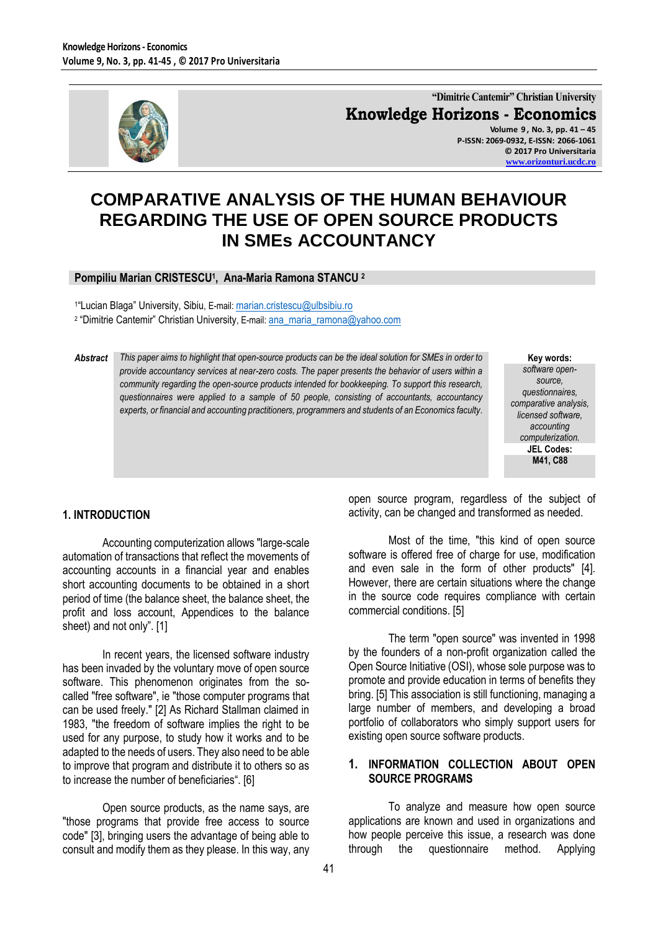

**"Dimitrie Cantemir" Christian University Knowledge Horizons - Economics Volume 9 , No. 3, pp. 41 – 45 P-ISSN: 2069-0932, E-ISSN: 2066-1061 © 2017 Pro Universitaria**

**[www.orizonturi.ucdc.ro](http://www.orizonturi.ucdc.ro/)**

# **COMPARATIVE ANALYSIS OF THE HUMAN BEHAVIOUR REGARDING THE USE OF OPEN SOURCE PRODUCTS IN SMEs ACCOUNTANCY**

## **Pompiliu Marian CRISTESCU<sup>1</sup> , Ana-Maria Ramona STANCU <sup>2</sup>**

<sup>1</sup>"Lucian Blaga" University, Sibiu, E-mail: <u>[marian.cristescu@ulbsibiu.ro](mailto:marian.cristescu@ulbsibiu.ro)</u>

<sup>2</sup> "Dimitrie Cantemir" Christian University, E-mail: <u>[ana\\_maria\\_ramona@yahoo.com](mailto:ana_maria_ramona@yahoo.com)</u>

*Abstract This paper aims to highlight that open-source products can be the ideal solution for SMEs in order to provide accountancy services at near-zero costs. The paper presents the behavior of users within a community regarding the open-source products intended for bookkeeping. To support this research, questionnaires were applied to a sample of 50 people, consisting of accountants, accountancy experts, or financial and accounting practitioners, programmers and students of an Economics faculty.*

**Key words:** *software opensource, questionnaires, comparative analysis, licensed software, accounting computerization.* **JEL Codes: M41, C88**

#### **1. INTRODUCTION**

Accounting computerization allows "large-scale automation of transactions that reflect the movements of accounting accounts in a financial year and enables short accounting documents to be obtained in a short period of time (the balance sheet, the balance sheet, the profit and loss account, Appendices to the balance sheet) and not only". [1]

In recent years, the licensed software industry has been invaded by the voluntary move of open source software. This phenomenon originates from the socalled "free software", ie "those computer programs that can be used freely." [2] As Richard Stallman claimed in 1983, "the freedom of software implies the right to be used for any purpose, to study how it works and to be adapted to the needs of users. They also need to be able to improve that program and distribute it to others so as to increase the number of beneficiaries". [6]

Open source products, as the name says, are "those programs that provide free access to source code" [3], bringing users the advantage of being able to consult and modify them as they please. In this way, any open source program, regardless of the subject of activity, can be changed and transformed as needed.

Most of the time, "this kind of open source software is offered free of charge for use, modification and even sale in the form of other products" [4]. However, there are certain situations where the change in the source code requires compliance with certain commercial conditions. [5]

The term "open source" was invented in 1998 by the founders of a non-profit organization called the Open Source Initiative (OSI), whose sole purpose was to promote and provide education in terms of benefits they bring. [5] This association is still functioning, managing a large number of members, and developing a broad portfolio of collaborators who simply support users for existing open source software products.

## **1. INFORMATION COLLECTION ABOUT OPEN SOURCE PROGRAMS**

To analyze and measure how open source applications are known and used in organizations and how people perceive this issue, a research was done through the questionnaire method. Applying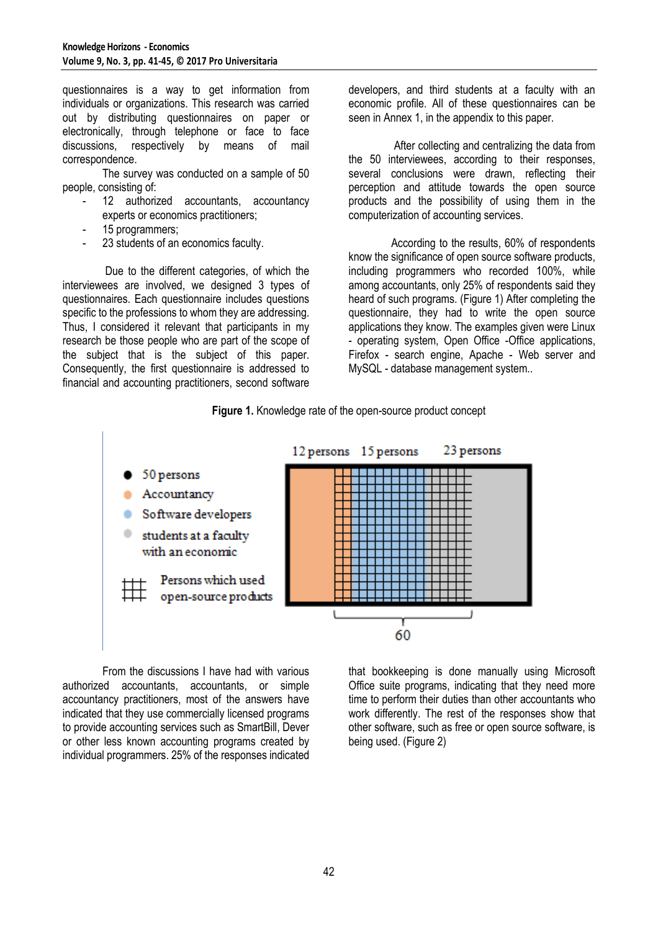questionnaires is a way to get information from individuals or organizations. This research was carried out by distributing questionnaires on paper or electronically, through telephone or face to face discussions, respectively by means of mail correspondence.

The survey was conducted on a sample of 50 people, consisting of:

- 12 authorized accountants, accountancy experts or economics practitioners;
- 15 programmers;
- 23 students of an economics faculty.

Due to the different categories, of which the interviewees are involved, we designed 3 types of questionnaires. Each questionnaire includes questions specific to the professions to whom they are addressing. Thus, I considered it relevant that participants in my research be those people who are part of the scope of the subject that is the subject of this paper. Consequently, the first questionnaire is addressed to financial and accounting practitioners, second software

developers, and third students at a faculty with an economic profile. All of these questionnaires can be seen in Annex 1, in the appendix to this paper.

 After collecting and centralizing the data from the 50 interviewees, according to their responses, several conclusions were drawn, reflecting their perception and attitude towards the open source products and the possibility of using them in the computerization of accounting services.

According to the results, 60% of respondents know the significance of open source software products, including programmers who recorded 100%, while among accountants, only 25% of respondents said they heard of such programs. (Figure 1) After completing the questionnaire, they had to write the open source applications they know. The examples given were Linux - operating system, Open Office -Office applications, Firefox - search engine, Apache - Web server and MySQL - database management system..





From the discussions I have had with various authorized accountants, accountants, or simple accountancy practitioners, most of the answers have indicated that they use commercially licensed programs to provide accounting services such as SmartBill, Dever or other less known accounting programs created by individual programmers. 25% of the responses indicated that bookkeeping is done manually using Microsoft Office suite programs, indicating that they need more time to perform their duties than other accountants who work differently. The rest of the responses show that other software, such as free or open source software, is being used. (Figure 2)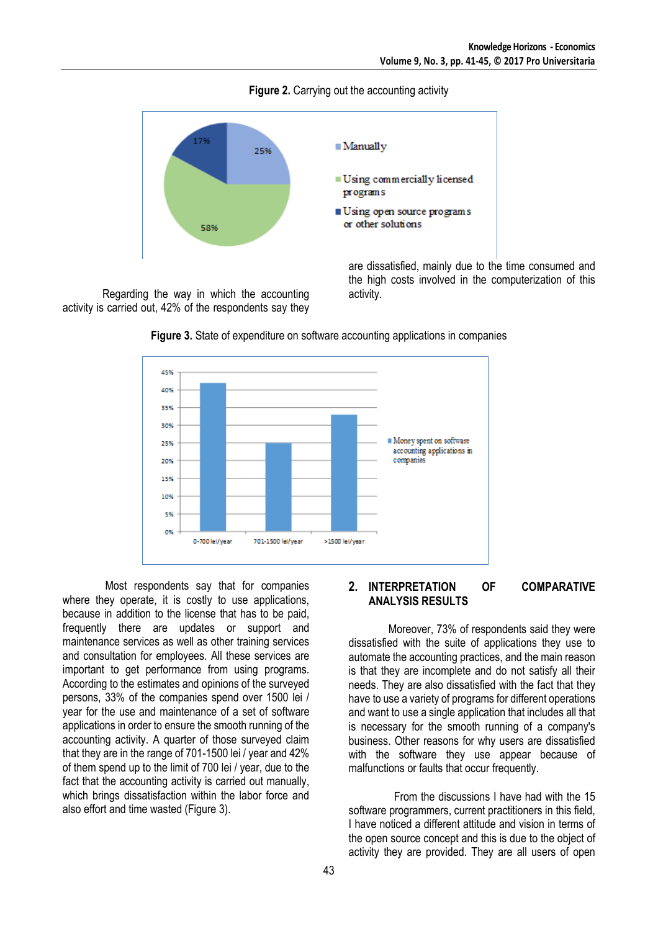**Figure 2.** Carrying out the accounting activity



Regarding the way in which the accounting activity is carried out, 42% of the respondents say they are dissatisfied, mainly due to the time consumed and the high costs involved in the computerization of this activity.



**Figure 3.** State of expenditure on software accounting applications in companies

Most respondents say that for companies where they operate, it is costly to use applications, because in addition to the license that has to be paid, frequently there are updates or support and maintenance services as well as other training services and consultation for employees. All these services are important to get performance from using programs. According to the estimates and opinions of the surveyed persons, 33% of the companies spend over 1500 lei / year for the use and maintenance of a set of software applications in order to ensure the smooth running of the accounting activity. A quarter of those surveyed claim that they are in the range of 701-1500 lei / year and 42% of them spend up to the limit of 700 lei / year, due to the fact that the accounting activity is carried out manually, which brings dissatisfaction within the labor force and also effort and time wasted (Figure 3).

#### **2. INTERPRETATION OF COMPARATIVE ANALYSIS RESULTS**

Moreover, 73% of respondents said they were dissatisfied with the suite of applications they use to automate the accounting practices, and the main reason is that they are incomplete and do not satisfy all their needs. They are also dissatisfied with the fact that they have to use a variety of programs for different operations and want to use a single application that includes all that is necessary for the smooth running of a company's business. Other reasons for why users are dissatisfied with the software they use appear because of malfunctions or faults that occur frequently.

 From the discussions I have had with the 15 software programmers, current practitioners in this field, I have noticed a different attitude and vision in terms of the open source concept and this is due to the object of activity they are provided. They are all users of open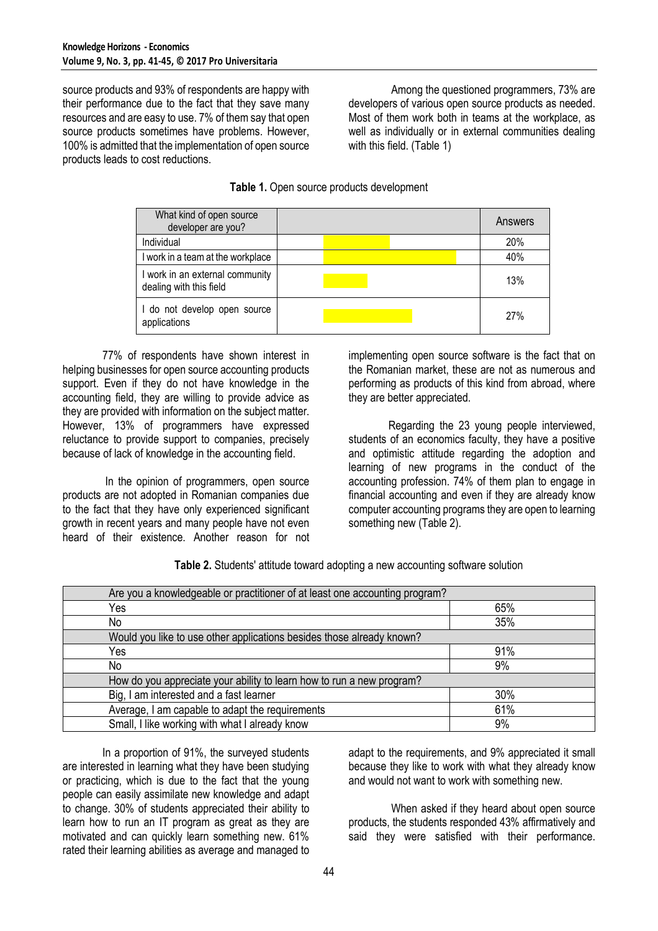source products and 93% of respondents are happy with their performance due to the fact that they save many resources and are easy to use. 7% of them say that open source products sometimes have problems. However, 100% is admitted that the implementation of open source products leads to cost reductions.

Among the questioned programmers, 73% are developers of various open source products as needed. Most of them work both in teams at the workplace, as well as individually or in external communities dealing with this field. (Table 1)

| Table 1. Open source products development |  |  |
|-------------------------------------------|--|--|
|-------------------------------------------|--|--|

| What kind of open source<br>developer are you?             | Answers |
|------------------------------------------------------------|---------|
| Individual                                                 | 20%     |
| I work in a team at the workplace                          | 40%     |
| I work in an external community<br>dealing with this field | 13%     |
| I do not develop open source<br>applications               | 27%     |

77% of respondents have shown interest in helping businesses for open source accounting products support. Even if they do not have knowledge in the accounting field, they are willing to provide advice as they are provided with information on the subject matter. However, 13% of programmers have expressed reluctance to provide support to companies, precisely because of lack of knowledge in the accounting field.

In the opinion of programmers, open source products are not adopted in Romanian companies due to the fact that they have only experienced significant growth in recent years and many people have not even heard of their existence. Another reason for not implementing open source software is the fact that on the Romanian market, these are not as numerous and performing as products of this kind from abroad, where they are better appreciated.

Regarding the 23 young people interviewed, students of an economics faculty, they have a positive and optimistic attitude regarding the adoption and learning of new programs in the conduct of the accounting profession. 74% of them plan to engage in financial accounting and even if they are already know computer accounting programs they are open to learning something new (Table 2).

| Are you a knowledgeable or practitioner of at least one accounting program? |     |  |
|-----------------------------------------------------------------------------|-----|--|
| Yes                                                                         | 65% |  |
| No                                                                          | 35% |  |
| Would you like to use other applications besides those already known?       |     |  |
| Yes                                                                         | 91% |  |
| No                                                                          | 9%  |  |
| How do you appreciate your ability to learn how to run a new program?       |     |  |
| Big, I am interested and a fast learner                                     | 30% |  |
| Average, I am capable to adapt the requirements                             | 61% |  |
| Small, I like working with what I already know                              | 9%  |  |

**Table 2.** Students' attitude toward adopting a new accounting software solution

In a proportion of 91%, the surveyed students are interested in learning what they have been studying or practicing, which is due to the fact that the young people can easily assimilate new knowledge and adapt to change. 30% of students appreciated their ability to learn how to run an IT program as great as they are motivated and can quickly learn something new. 61% rated their learning abilities as average and managed to

adapt to the requirements, and 9% appreciated it small because they like to work with what they already know and would not want to work with something new.

When asked if they heard about open source products, the students responded 43% affirmatively and said they were satisfied with their performance.